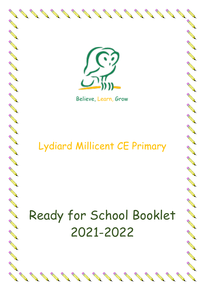

**AND ROOM** 

RA A

**RANTICO** 

**CONTROLLER** 

**CONTROLLER** 

RA A

RA CAR

New Read

**RANTICO** 

RANT REA

NA REA

RA A

**AND** 

A A R

**ANTICATION REPORT** 

New Read

RA A

RANT RO

A March

**AND READER** 

**RANTICO** 

A A R

**ANTICATION** 

**CONTROLLER** 

Contract of the

Contractor

**RANTING COMPANY** 

REAL PROPERTY

Believe, Learn, Grow

# Lydiard Millicent CE Primary

# Ready for School Booklet 2021-2022

North Carpenter

North Carpenter

**Contract Contract Contract Contract Contract Contract Contract Contract Contract Contract Contract Contract Contract Contract Contract Contract Contract Contract Contract Contract Contract Contract Contract Contract Contr** 

**Contract of the Contract of the Contract of The Contract of The Contract of The Contract of The Contract of The Contract of The Contract of The Contract of The Contract of The Contract of The Contract of The Contract of T** 

**Contract of the Contract of the Contract of The Contract of The Contract of The Contract of The Contract of The Contract of The Contract of The Contract of The Contract of The Contract of The Contract of The Contract of T**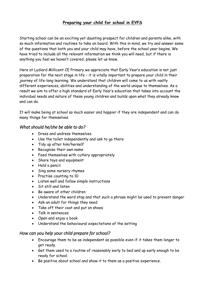# **Preparing your child for school in EYFS**

Starting school can be an exciting yet daunting prospect for children and parents alike, with so much information and routines to take on board. With this in mind, we try and answer some of the questions that both you and your child may have, before the school year begins. We have tried to include all the relevant information we think you will need, but if there is anything you feel we haven't covered, please let us know.

Here at Lydiard Millicent CE Primary we appreciate that Early Year's education is not just preparation for the next stage in life – it is vitally important to prepare your child in their journey of life-long learning. We understand that children will come to us with vastly different experiences, abilities and understanding of the world unique to themselves. As a result we aim to offer a high standard of Early Year's education that takes into account the individual needs and nature of these young children and builds upon what they already know and can do.

It will make being at school so much easier and happier if they are independent and can do many things for themselves.

#### *What should he/she be able to do?*

- Dress and undress themselves
- Use the toilet independently and ask to go there
- Tidy up after him/herself
- Recognise their own name
- Feed themselves with cutlery appropriately
- Share toys and equipment
- Hold a pencil
- Sing some nursery rhymes
- Practise counting to 10
- Listen well and follow simple instructions
- Sit still and listen
- Be aware of other children
- Understand the word stop and that such a phrase might be used to prevent danger
- Ask an adult for things they need
- Take off their coat and put on shoes
- Talk in sentences
- Open and enjoy a book
- Understand the behavioural expectations of the setting

# *How can you help your child prepare for school?*

- Encourage them to be as independent as possible even if it takes them longer to get ready.
- Get them used to a routine of reasonably early to bed and up early enough to be ready for school.
- Be positive about school and show it to them as a positive experience.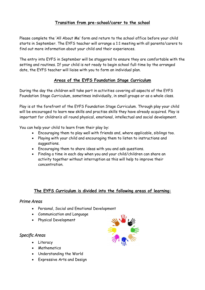# **Transition from pre-school/carer to the school**

Please complete the 'All About Me' form and return to the school office before your child starts in September. The EYFS teacher will arrange a 1:1 meeting with all parents/carers to find out more information about your child and their experiences.

The entry into EYFS in September will be staggered to ensure they are comfortable with the setting and routines. If your child is not ready to begin school full-time by the arranged date, the EYFS teacher will liaise with you to form an individual plan.

# **Areas of the EYFS Foundation Stage Curriculum**

During the day the children will take part in activities covering all aspects of the EYFS Foundation Stage Curriculum, sometimes individually, in small groups or as a whole class.

Play is at the forefront of the EYFS Foundation Stage Curriculum. Through play your child will be encouraged to learn new skills and practise skills they have already acquired. Play is important for children's all round physical, emotional, intellectual and social development.

You can help your child to learn from their play by:

- Encouraging them to play well with friends and, where applicable, siblings too.
- Playing with your child and encouraging them to listen to instructions and suggestions.
- Encouraging them to share ideas with you and ask questions.
- Finding a time in each day when you and your child/children can share an activity together without interruption as this will help to improve their concentration.

#### **The EYFS Curriculum is divided into the following areas of learning:**

#### *Prime Areas*

- Personal, Social and Emotional Development
- Communication and Language
- Physical Development

#### *Specific Areas*

- Literacy
- Mathematics
- Understanding the World
- Expressive Arts and Design

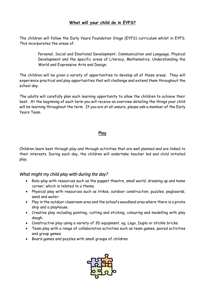# **What will your child do in EYFS?**

The children will follow the Early Years Foundation Stage (EYFS) curriculum whilst in EYFS. This incorporates the areas of:

> Personal, Social and Emotional Development, Communication and Language, Physical Development and the specific areas of Literacy, Mathematics, Understanding the World and Expressive Arts and Design.

The children will be given a variety of opportunities to develop all of these areas. They will experience practical and play opportunities that will challenge and extend them throughout the school day.

The adults will carefully plan each learning opportunity to allow the children to achieve their best. At the beginning of each term you will receive an overview detailing the things your child will be learning throughout the term. If you are at all unsure, please ask a member of the Early Years Team.

#### **Play**

Children learn best through play and through activities that are well planned and are linked to their interests. During each day, the children will undertake teacher led and child initiated play.

# *What might my child play with during the day?*

- Role-play with resources such as the puppet theatre, small world, dressing up and home corner; which is related to a theme.
- Physical play with resources such as trikes, outdoor construction, puzzles, pegboards, sand and water.
- Play in the outdoor classroom area and the school's woodland area where there is a pirate ship and a playhouse.
- Creative play including painting, cutting and sticking, colouring and modelling with play dough.
- Constructive play using a variety of 3D equipment, eg. Lego, Duplo or stickle bricks.
- Team play with a range of collaborative activities such as team games, paired activities and group games
- Board games and puzzles with small groups of children.

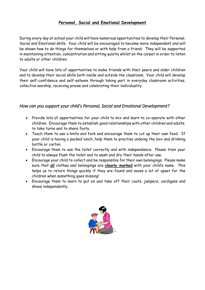# **Personal, Social and Emotional Development**

During every day at school your child will have numerous opportunities to develop their Personal, Social and Emotional skills. Your child will be encouraged to become more independent and will be shown how to do things for themselves or with help from a friend. They will be supported in maintaining attention, concentration and sitting quietly whilst on the carpet in order to listen to adults or other children.

Your child will have lots of opportunities to make friends with their peers and older children and to develop their social skills both inside and outside the classroom. Your child will develop their self-confidence and self-esteem through taking part in everyday classroom activities, collective worship, receiving praise and celebrating their individuality.

# *How can you support your child's Personal, Social and Emotional Development?*

- Provide lots of opportunities for your child to mix and learn to co-operate with other children. Encourage them to establish good relationships with other children and adults, to take turns and to share fairly.
- Teach them to use a knife and fork and encourage them to cut up their own food. If your child is having a packed lunch, help them to practise undoing the box and drinking bottle or carton.
- Encourage them to use the toilet correctly and with independence. Please train your child to always flush the toilet and to wash and dry their hands after use.
- Encourage your child to collect and be responsible for their own belongings. Please make sure that **all** clothes and belongings are **clearly marked** with your child's name. This helps us to return things quickly if they are found and saves a lot of upset for the children when something goes missing!
- Encourage them to learn to put on and take off their coats, jumpers, cardigans and shoes independently.

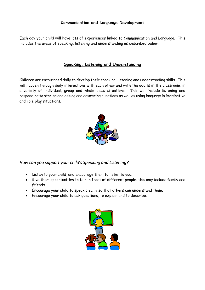## **Communication and Language Development**

Each day your child will have lots of experiences linked to Communication and Language. This includes the areas of speaking, listening and understanding as described below.

#### **Speaking, Listening and Understanding**

Children are encouraged daily to develop their speaking, listening and understanding skills. This will happen through daily interactions with each other and with the adults in the classroom, in a variety of individual, group and whole class situations. This will include listening and responding to stories and asking and answering questions as well as using language in imaginative and role play situations.



*How can you support your child's Speaking and Listening?* 

- Listen to your child, and encourage them to listen to you.
- Give them opportunities to talk in front of different people; this may include family and friends.
- Encourage your child to speak clearly so that others can understand them.
- Encourage your child to ask questions, to explain and to describe.

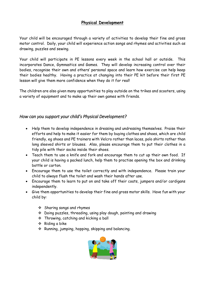# **Physical Development**

Your child will be encouraged through a variety of activities to develop their fine and gross motor control. Daily, your child will experience action songs and rhymes and activities such as drawing, puzzles and sewing.

Your child will participate in PE lessons every week in the school hall or outside. This incorporates Dance, Gymnastics and Games. They will develop increasing control over their bodies, recognise their own and others' personal space and learn how exercise can help keep their bodies healthy. Having a practice at changing into their PE kit before their first PE lesson will give them more confidence when they do it for real!

The children are also given many opportunities to play outside on the trikes and scooters, using a variety of equipment and to make up their own games with friends.

# *How can you support your child's Physical Development?*

- Help them to develop independence in dressing and undressing themselves. Praise their efforts and help to make it easier for them by buying clothes and shoes, which are child friendly, eg shoes and PE trainers with Velcro rather than laces, polo shirts rather than long sleeved shirts or blouses. Also, please encourage them to put their clothes in a tidy pile with their socks inside their shoes.
- Teach them to use a knife and fork and encourage them to cut up their own food. If your child is having a packed lunch, help them to practise opening the box and drinking bottle or carton.
- Encourage them to use the toilet correctly and with independence. Please train your child to always flush the toilet and wash their hands after use.
- Encourage them to learn to put on and take off their coats, jumpers and/or cardigans independently.
- Give them opportunities to develop their fine and gross motor skills. Have fun with your child by:
	- Sharing songs and rhymes
	- Doing puzzles, threading, using play dough, painting and drawing
	- Throwing, catching and kicking a ball
	- $\div$  Riding a bike
	- $\cdot$  Running, jumping, hopping, skipping and balancing.

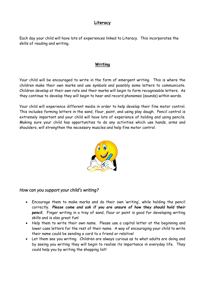## **Literacy**

Each day your child will have lots of experiences linked to Literacy. This incorporates the skills of reading and writing.

#### **Writing**

Your child will be encouraged to write in the form of emergent writing. This is where the children make their own marks and use symbols and possibly some letters to communicate. Children develop at their own rate and their marks will begin to form recognisable letters. As they continue to develop they will begin to hear and record phonemes (sounds) within words.

Your child will experience different media in order to help develop their fine motor control. This includes forming letters in the sand, flour, paint, and using play dough. Pencil control is extremely important and your child will have lots of experience of holding and using pencils. Making sure your child has opportunities to do any activities which use hands, arms and shoulders, will strengthen the necessary muscles and help fine motor control.



#### *How can you support your child's writing?*

- Encourage them to make marks and do their own 'writing', while holding the pencil correctly. *Please come and ask if you are unsure of how they should hold their pencil.* Finger writing in a tray of sand, flour or paint is good for developing writing skills and is also great fun!
- Help them to write their own name. Please use a capital letter at the beginning and lower case letters for the rest of their name. A way of encouraging your child to write their name could be sending a card to a friend or relative!
- Let them see you writing. Children are always curious as to what adults are doing and by seeing you writing they will begin to realise its importance in everyday life. They could help you by writing the shopping list!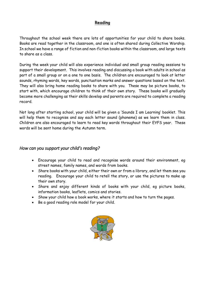#### **Reading**

Throughout the school week there are lots of opportunities for your child to share books. Books are read together in the classroom, and one is often shared during Collective Worship. In school we have a range of fiction and non-fiction books within the classroom, and large texts to share as a class.

During the week your child will also experience individual and small group reading sessions to support their development. This involves reading and discussing a book with adults in school as part of a small group or on a one to one basis. The children are encouraged to look at letter sounds, rhyming words, key words, punctuation marks and answer questions based on the text. They will also bring home reading books to share with you. These may be picture books, to start with, which encourage children to think of their own story. These books will gradually become more challenging as their skills develop and parents are required to complete a reading record.

Not long after starting school, your child will be given a 'Sounds I am Learning' booklet. This will help them to recognise and say each letter sound (phoneme) as we learn them in class. Children are also encouraged to learn to read key words throughout their EYFS year. These words will be sent home during the Autumn term.

#### *How can you support your child's reading?*

- Encourage your child to read and recognise words around their environment, eg street names, family names, and words from books.
- Share books with your child, either their own or from a library, and let them see you reading. Encourage your child to retell the story, or use the pictures to make up their own story.
- Share and enjoy different kinds of books with your child, eg picture books, information books, leaflets, comics and stories.
- Show your child how a book works, where it starts and how to turn the pages.
- Be a good reading role model for your child.

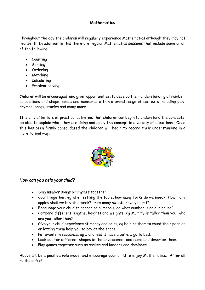# **Mathematics**

Throughout the day the children will regularly experience Mathematics although they may not realise it! In addition to this there are regular Mathematics sessions that include some or all of the following:

- Counting
- Sorting
- Ordering
- Matching
- Calculating
- Problem-solving

Children will be encouraged, and given opportunities, to develop their understanding of number, calculations and shape, space and measures within a broad range of contexts including play, rhymes, songs, stories and many more.

It is only after lots of practical activities that children can begin to understand the concepts, be able to explain what they are doing and apply the concept in a variety of situations. Once this has been firmly consolidated the children will begin to record their understanding in a more formal way.



# *How can you help your child?*

- Sing number songs or rhymes together.
- Count together, eg when setting the table, how many forks do we need? How many apples shall we buy this week? How many sweets have you got?
- Encourage your child to recognise numerals, eg what number is on our house?
- Compare different lengths, heights and weights, eg Mummy is taller than you, who are you taller than?
- Give your child experience of money and coins, eg helping them to count their pennies or letting them help you to pay at the shops.
- Put events in sequence, eg I undress, I have a bath, I go to bed.
- Look out for different shapes in the environment and name and describe them.
- Play games together such as snakes and ladders and dominoes.

Above all, be a positive role model and encourage your child to enjoy Mathematics. After all maths is fun!